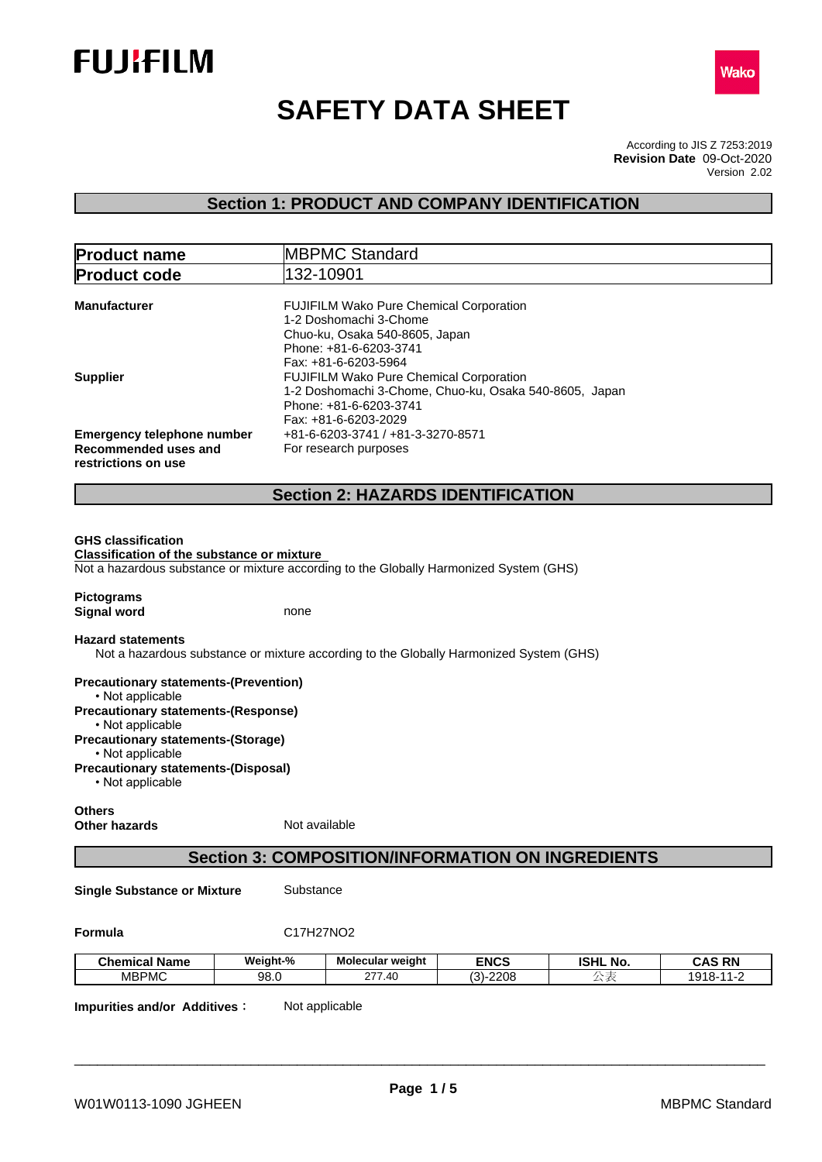



# **SAFETY DATA SHEET**

According to JIS Z 7253:2019 Version 2.02 **Revision Date** 09-Oct-2020

## **Section 1: PRODUCT AND COMPANY IDENTIFICATION**

| <b>Product name</b>                                                            | <b>MBPMC Standard</b>                                                                                                                                                              |  |
|--------------------------------------------------------------------------------|------------------------------------------------------------------------------------------------------------------------------------------------------------------------------------|--|
| <b>Product code</b>                                                            | 132-10901                                                                                                                                                                          |  |
| <b>Manufacturer</b>                                                            | <b>FUJIFILM Wako Pure Chemical Corporation</b><br>1-2 Doshomachi 3-Chome<br>Chuo-ku, Osaka 540-8605, Japan<br>Phone: +81-6-6203-3741                                               |  |
| <b>Supplier</b>                                                                | Fax: +81-6-6203-5964<br><b>FUJIFILM Wako Pure Chemical Corporation</b><br>1-2 Doshomachi 3-Chome, Chuo-ku, Osaka 540-8605, Japan<br>Phone: +81-6-6203-3741<br>Fax: +81-6-6203-2029 |  |
| Emergency telephone number                                                     | +81-6-6203-3741 / +81-3-3270-8571                                                                                                                                                  |  |
| Recommended uses and<br>restrictions on use                                    | For research purposes                                                                                                                                                              |  |
|                                                                                |                                                                                                                                                                                    |  |
|                                                                                | <b>Section 2: HAZARDS IDENTIFICATION</b>                                                                                                                                           |  |
|                                                                                |                                                                                                                                                                                    |  |
| <b>GHS classification</b><br><b>Classification of the substance or mixture</b> | Not a hazardous substance or mixture according to the Globally Harmonized System (GHS)                                                                                             |  |
| <b>Pictograms</b>                                                              |                                                                                                                                                                                    |  |
| <b>Signal word</b>                                                             | none                                                                                                                                                                               |  |
| <b>Hazard statements</b>                                                       |                                                                                                                                                                                    |  |
|                                                                                | Not a hazardous substance or mixture according to the Globally Harmonized System (GHS)                                                                                             |  |
| <b>Precautionary statements-(Prevention)</b><br>• Not applicable               |                                                                                                                                                                                    |  |
| <b>Precautionary statements-(Response)</b><br>• Not applicable                 |                                                                                                                                                                                    |  |
| <b>Precautionary statements-(Storage)</b><br>• Not applicable                  |                                                                                                                                                                                    |  |
| <b>Precautionary statements-(Disposal)</b>                                     |                                                                                                                                                                                    |  |

• Not applicable

# **Others**

**Other hazards** Not available

## **Section 3: COMPOSITION/INFORMATION ON INGREDIENTS**

**Single Substance or Mixture** Substance

**Formula** C17H27NO2

| <b>Chemical Name</b>  | Weight-% | <b>Molecular weight</b>           | <b>ENCS</b>                      | <b>ISHL</b><br>`No. | <b>CAS RN</b>        |
|-----------------------|----------|-----------------------------------|----------------------------------|---------------------|----------------------|
| MBPMC<br><b>IVIDE</b> | 98.0     | $\sim$ ---<br>. .40<br><u> 21</u> | $\sim$<br>0.000<br>ינכה.<br>ZZUC | $\sim$              | 040<br>$\sim$<br>. . |

**Impurities and/or Additives:** Not applicable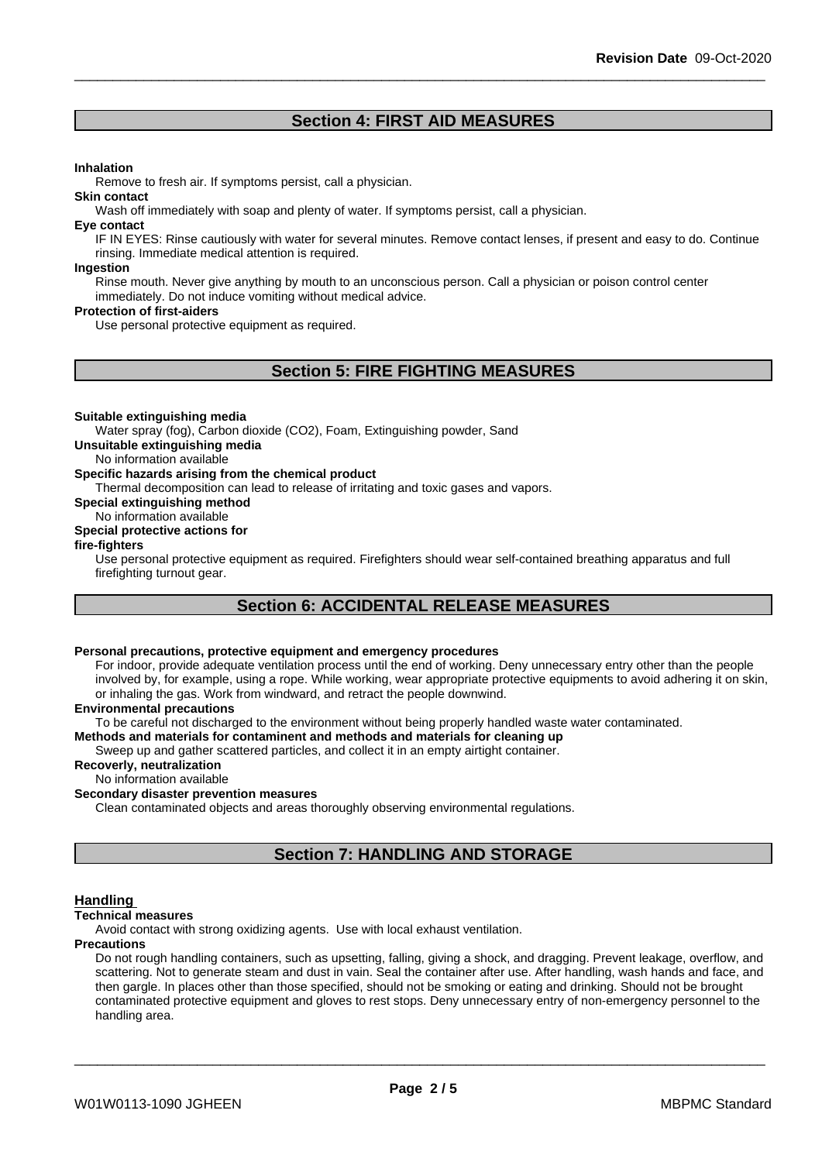## **Section 4: FIRST AID MEASURES**

#### **Inhalation**

Remove to fresh air. If symptoms persist, call a physician.

#### **Skin contact**

Wash off immediately with soap and plenty of water. If symptoms persist, call a physician.

#### **Eye contact**

IF IN EYES: Rinse cautiously with water for several minutes. Remove contact lenses, if present and easy to do. Continue rinsing. Immediate medical attention is required.

#### **Ingestion**

Rinse mouth. Never give anything by mouth to an unconscious person. Call a physician or poison control center immediately. Do not induce vomiting without medical advice.

#### **Protection of first-aiders**

Use personal protective equipment as required.

## **Section 5: FIRE FIGHTING MEASURES**

#### **Suitable extinguishing media**

Water spray (fog), Carbon dioxide (CO2), Foam, Extinguishing powder, Sand

**Unsuitable extinguishing media**

No information available

#### **Specific hazards arising from the chemical product**

Thermal decomposition can lead to release of irritating and toxic gases and vapors.

**Special extinguishing method**

#### No information available **Special protective actions for**

**fire-fighters**

Use personal protective equipment as required.Firefighters should wear self-contained breathing apparatus and full firefighting turnout gear.

## **Section 6: ACCIDENTAL RELEASE MEASURES**

## **Personal precautions, protective equipment and emergency procedures**

For indoor, provide adequate ventilation process until the end of working. Deny unnecessary entry other than the people involved by, for example, using a rope. While working, wear appropriate protective equipments to avoid adhering it on skin, or inhaling the gas. Work from windward, and retract the people downwind.

#### **Environmental precautions**

To be careful not discharged to the environment without being properly handled waste water contaminated.

#### **Methods and materials for contaminent and methods and materials for cleaning up**

Sweep up and gather scattered particles, and collect it in an empty airtight container.

#### **Recoverly, neutralization**

No information available

### **Secondary disaster prevention measures**

Clean contaminated objects and areas thoroughly observing environmental regulations.

## **Section 7: HANDLING AND STORAGE**

#### **Handling**

#### **Technical measures**

Avoid contact with strong oxidizing agents. Use with local exhaust ventilation.

### **Precautions**

Do not rough handling containers, such as upsetting, falling, giving a shock, and dragging. Prevent leakage, overflow, and scattering. Not to generate steam and dust in vain. Seal the container after use. After handling, wash hands and face, and then gargle. In places other than those specified, should not be smoking or eating and drinking. Should not be brought contaminated protective equipment and gloves to rest stops. Deny unnecessary entry of non-emergency personnel to the handling area.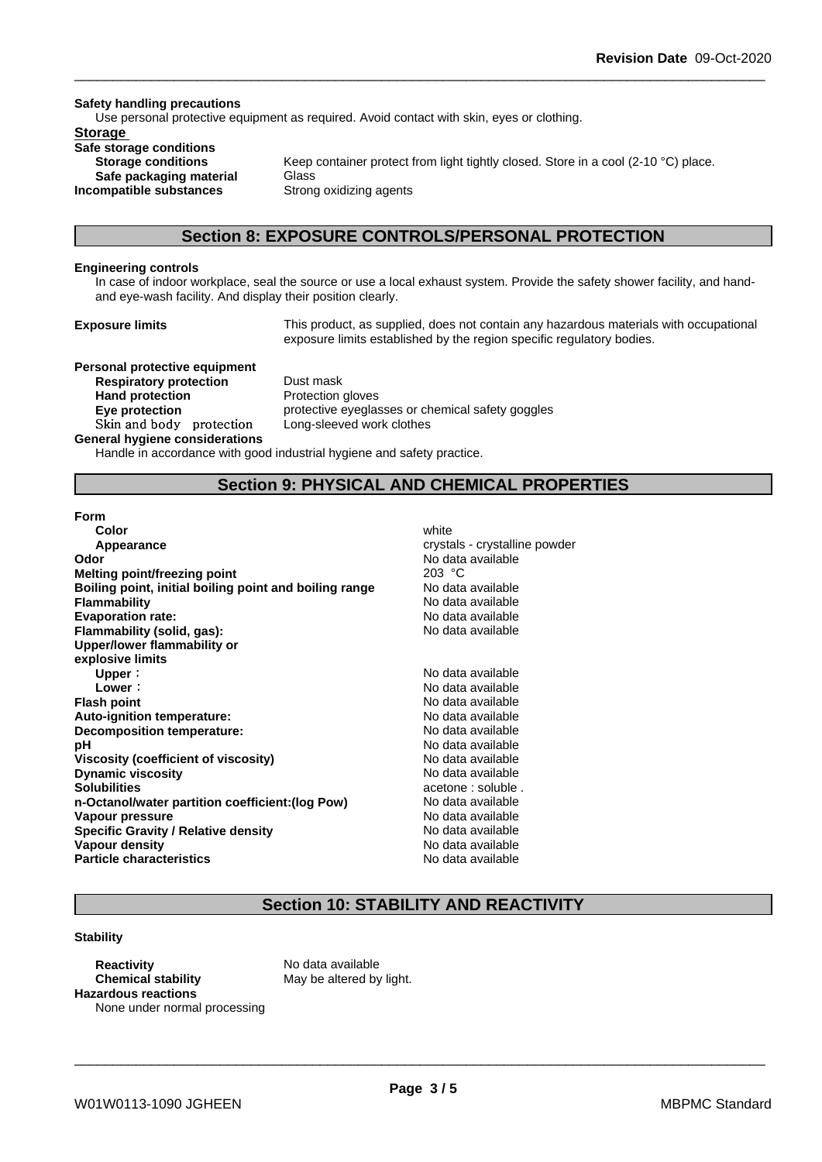#### **Safety handling precautions**

Use personal protective equipment as required. Avoid contact with skin, eyes or clothing.

## **Storage**

**Safe storage conditions Safe packaging material** Glass **Incompatible substances** Strong oxidizing agents

**Storage conditions** Keep container protect from light tightly closed. Store in a cool (2-10 °C) place.

## **Section 8: EXPOSURE CONTROLS/PERSONAL PROTECTION**

#### **Engineering controls**

In case of indoor workplace, seal the source or use a local exhaust system. Provide the safety shower facility, and handand eye-wash facility. And display their position clearly.

**Exposure limits** This product, as supplied, does not contain any hazardous materials with occupational exposure limits established by the region specific regulatory bodies.

**Personal protective equipment Respiratory protection** Dust mask **Hand protection** Protection gloves **Skinandbody protection** Long-sleeved work clothes

**Eye protection protective eyeglasses or chemical safety goggles** 

#### **General hygiene considerations**

Handle in accordance with good industrial hygiene and safety practice.

## **Section 9: PHYSICAL AND CHEMICAL PROPERTIES**

#### **Form**

| Color                                                  | white                         |
|--------------------------------------------------------|-------------------------------|
| Appearance                                             | crystals - crystalline powder |
| Odor                                                   | No data available             |
| Melting point/freezing point                           | 203 °C                        |
| Boiling point, initial boiling point and boiling range | No data available             |
| <b>Flammability</b>                                    | No data available             |
| <b>Evaporation rate:</b>                               | No data available             |
| Flammability (solid, gas):                             | No data available             |
| Upper/lower flammability or                            |                               |
| explosive limits                                       |                               |
| Upper:                                                 | No data available             |
| Lower:                                                 | No data available             |
| <b>Flash point</b>                                     | No data available             |
| Auto-ignition temperature:                             | No data available             |
| Decomposition temperature:                             | No data available             |
| рH                                                     | No data available             |
| Viscosity (coefficient of viscosity)                   | No data available             |
| <b>Dynamic viscosity</b>                               | No data available             |
| <b>Solubilities</b>                                    | acetone : soluble.            |
| n-Octanol/water partition coefficient: (log Pow)       | No data available             |
| Vapour pressure                                        | No data available             |
| <b>Specific Gravity / Relative density</b>             | No data available             |
| Vapour density                                         | No data available             |
| <b>Particle characteristics</b>                        | No data available             |
|                                                        |                               |

## **Section 10: STABILITY AND REACTIVITY**

### **Stability**

**Reactivity** No data available **Chemical stability** May be altered by light. **Hazardous reactions** None under normal processing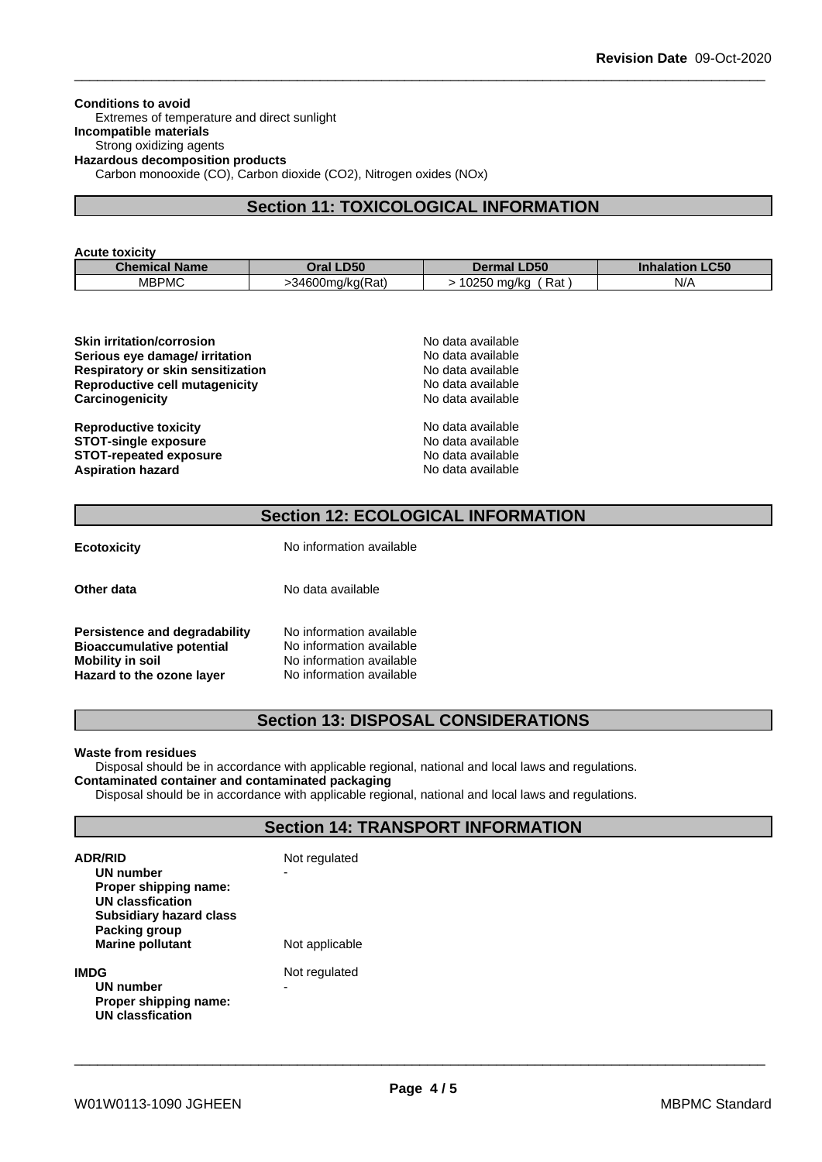**Conditions to avoid** Extremes of temperature and direct sunlight **Incompatible materials** Strong oxidizing agents **Hazardous decomposition products** Carbon monooxide (CO), Carbon dioxide (CO2), Nitrogen oxides (NOx)

## **Section 11: TOXICOLOGICAL INFORMATION**

| <b>Acute toxicity</b> |                     |                    |                                  |
|-----------------------|---------------------|--------------------|----------------------------------|
| <b>Chemical Name</b>  | Oral LD50           | <b>Dermal LD50</b> | <b>LC50</b><br><b>Inhalation</b> |
| <b>MBPMC</b>          | $>34600$ mg/kg(Rat) | 10250 ma/ka<br>Rat | N/A                              |

| <b>Skin irritation/corrosion</b>  | No data available |  |  |
|-----------------------------------|-------------------|--|--|
| Serious eye damage/ irritation    | No data available |  |  |
| Respiratory or skin sensitization | No data available |  |  |
| Reproductive cell mutagenicity    | No data available |  |  |
| Carcinogenicity                   | No data available |  |  |
| <b>Reproductive toxicity</b>      | No data available |  |  |
| <b>STOT-single exposure</b>       | No data available |  |  |
| <b>STOT-repeated exposure</b>     | No data available |  |  |
| <b>Aspiration hazard</b>          | No data available |  |  |

## **Section 12: ECOLOGICAL INFORMATION**

| <b>Ecotoxicity</b>                                                                                                        | No information available                                                                                     |
|---------------------------------------------------------------------------------------------------------------------------|--------------------------------------------------------------------------------------------------------------|
| Other data                                                                                                                | No data available                                                                                            |
| Persistence and degradability<br><b>Bioaccumulative potential</b><br><b>Mobility in soil</b><br>Hazard to the ozone layer | No information available<br>No information available<br>No information available<br>No information available |

## **Section 13: DISPOSAL CONSIDERATIONS**

#### **Waste from residues**

Disposal should be in accordance with applicable regional, national and local laws and regulations.

## **Contaminated container and contaminated packaging**

Disposal should be in accordance with applicable regional, national and local laws and regulations.

## **Section 14: TRANSPORT INFORMATION**

| <b>ADR/RID</b><br>UN number<br>Proper shipping name:<br>UN classfication<br><b>Subsidiary hazard class</b> | Not regulated<br>- |
|------------------------------------------------------------------------------------------------------------|--------------------|
| Packing group<br><b>Marine pollutant</b>                                                                   | Not applicable     |
| IMDG<br><b>UN number</b><br>Proper shipping name:<br><b>UN classfication</b>                               | Not regulated<br>- |